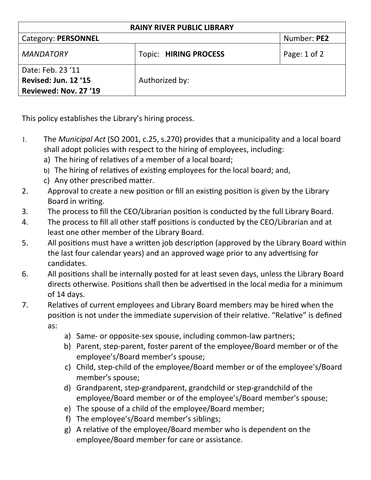| <b>RAINY RIVER PUBLIC LIBRARY</b>                                  |                              |              |  |
|--------------------------------------------------------------------|------------------------------|--------------|--|
| Category: PERSONNEL                                                |                              | Number: PE2  |  |
| <b>MANDATORY</b>                                                   | <b>Topic: HIRING PROCESS</b> | Page: 1 of 2 |  |
| Date: Feb. 23 '11<br>Revised: Jun. 12 '15<br>Reviewed: Nov. 27 '19 | Authorized by:               |              |  |

This policy establishes the Library's hiring process.

- 1. The *Municipal Act* (SO 2001, c.25, s.270) provides that a municipality and a local board shall adopt policies with respect to the hiring of employees, including:
	- a) The hiring of relatives of a member of a local board;
	- b) The hiring of relatives of existing employees for the local board; and,
	- c) Any other prescribed matter.
- 2. Approval to create a new position or fill an existing position is given by the Library Board in writing.
- 3. The process to fill the CEO/Librarian position is conducted by the full Library Board.
- 4. The process to fill all other staff positions is conducted by the CEO/Librarian and at least one other member of the Library Board.
- 5. All positions must have a written job description (approved by the Library Board within the last four calendar years) and an approved wage prior to any advertising for candidates.
- 6. All positions shall be internally posted for at least seven days, unless the Library Board directs otherwise. Positions shall then be advertised in the local media for a minimum of 14 days.
- 7. Relatives of current employees and Library Board members may be hired when the position is not under the immediate supervision of their relative. "Relative" is defined as:
	- a) Same- or opposite-sex spouse, including common-law partners;
	- b) Parent, step-parent, foster parent of the employee/Board member or of the employee's/Board member's spouse;
	- c) Child, step-child of the employee/Board member or of the employee's/Board member's spouse;
	- d) Grandparent, step-grandparent, grandchild or step-grandchild of the employee/Board member or of the employee's/Board member's spouse;
	- e) The spouse of a child of the employee/Board member;
	- f) The employee's/Board member's siblings;
	- g) A relative of the employee/Board member who is dependent on the employee/Board member for care or assistance.